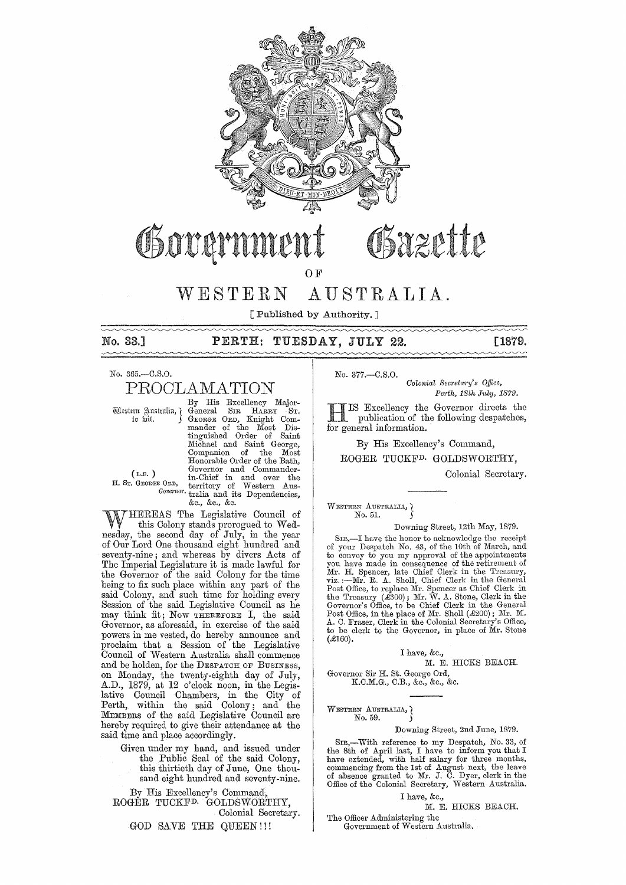

# Sazette Governmer

OF

# WESTERN AUSTRALIA.

[ Published by Authority. ]

## No. 33.] **PERTH: TUESDAY, JULY 22.** [1879.

No. 365.-C.S.0.

# PROOLAMATION

By His Excellency Major- Western Australiu, General SIR HARRY ST.<br>
to wit. (GEORGE ORD, Knight Com-<br>
mander of the Most Dis-<br>
tinguished Order of Saint<br>
Michael and Saint George,<br>
Companion of the Most Honorable Order of the Bath, (L.S.) Governor and Commander-<br>
H. Sr. GEORGE ORD, territory of Western Aus-*Govcmor.* tralia and its Dependencies, &c., &c., &c.

WHEREAS The Legislative Council of this Colony stands prorogued to Wednesday, the second day of July, in the year of Our Lord One thousand eight hundred and seventy-nine; and whereas by divers Acts of The Imperial Legislature it is made lawful for the Governor of the said Colony for the time being to fix such place within any part of the said Colony, and such time for holding every Session of the said Legislative Council as he may think fit; Now THEREFORE I, the said Governor, as aforesaid, in exercise of the said powers in me vested, do hereby announce and proclaim that a Session of the Legislative Council of Western Anstralia shall commence and be holden, for the DESPATCH OF BUSINESS, on Monday, the twenty-eighth day of July, A.D., 1879, at 12 o'clock noon, in the Legislative Council Chambers, in the City of Perth, within the said Colony; and the MEMBERS of the said Legislative Conncil are hereby required to give their attendance at the said time and place accordingly.

> Given under my hand, and issued under the Public Seal of the said Colony, this thirtieth day of June, One thousand eight hundred and seventy-nine.

By His Excellency's Command, ROGER TUCKFD. GOLDSWORTHY, Colonial Secretary.

GOD SAVE THE QUEEN!!!

No. 377.-C.S.O.

*Oolonial Secretary's Office, Pej·th, 18th July, 1879.* 

HIS Excellency the Governor directs the publication of the following despatches, for general information.

By His Excellency's Command,

ROGER TUCKFD. GOLDSWORTHY,

Colonial Secretary.

WESTERN AUSTRALIA, Q No.5l.

Downing Street, 12th May, 1879.

SIR,-I have the honor to acknowledge the receipt of your Despatch No. 43, of the 10th of March, and to convey to you my approval of the appointments you have made in consequence of the retirement of Mr. H. Spencer, late Chief Clerk in the Treasury, viz.:—Mr. R. A. Sholl, Chief Clerk in the General Post Office, to replace Mr. Spencer as Chief Clerk in the Freasury (£30 Governor's Office, to be Chief Clerk in the General Post Office, in the place of Mr. Sholl (£200); Mr. M. A. C. Fraser, Clerk in the Colonial Secretary's Office, to be clerk to the Governor, in place of Mr. Stone  $(E160)$ .

I have, &c.,

M. E. HICKS BEACH. Governor Sir H. St. George Ord,

K.C.M.G., C.B., &c., &c., &c.

WESTERN AUSTRALIA, } No. 59.

#### Downing Street, 2nd June, 1879.

SIR,-With reference to my Despatch, No. 33, of the 8th of April last, I have to inform you that I have extended, with half salary for three months, commencing from the 1st of August next, the leave of absence grantecl to Mr. J. C. Dyer, clerk in the Office of the Colonial Secretary, Western Australia.

I have, &c.,

M. E. HICKS BEACH,

The Officer Administering the Government of Western Australia.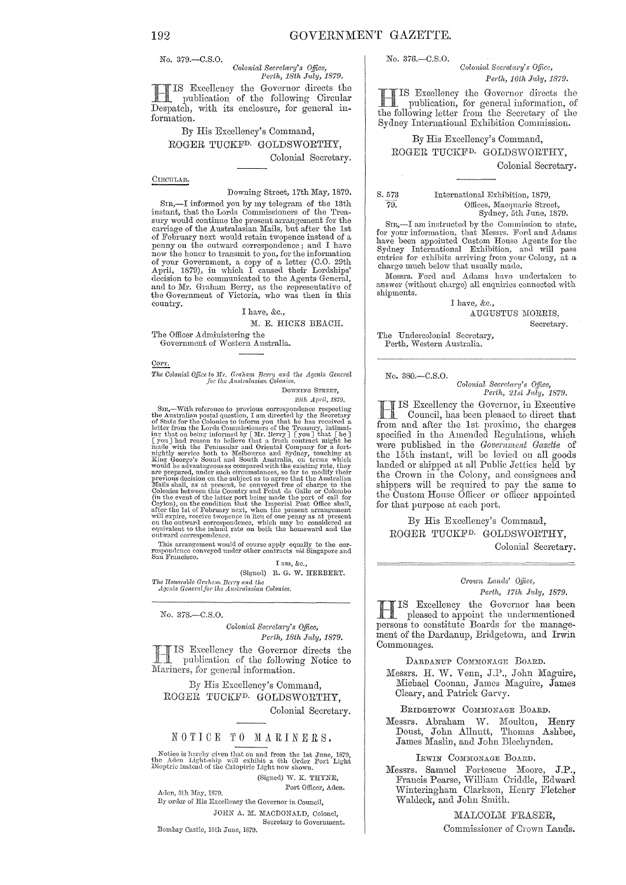No. 379.-C.S.O.

# *Colonial Secretary's Office, Perth, 18th July, 1879.*

IS Excellency the Governor directs the publication of the following Circular Despatch, with its enclosure, for general information.

# By His Excellency's Command, ROGER TUCKFD. GOLDSWORTHY,

Colonial Secretary.

#### CIRCULAR.

#### Downing Street, 17th May, 1879.

SIR,-I informed you by my telegram of the 13th instant, that the Lords Commissioners of the Treasury would continue the present arrangement for the<br>carriage of the Australasian Mails, but after the 1st of February next would retain twopence instead of a penny on the outward correspondence; and I have now the honor to transmit to you, for the information<br>of your Government, a copy of a letter (C.O. 29th<br>April, 1879), in which I caused their Lordships<br>decision to be communicated to the Agents General,<br>and to Mr. Graham the Government of Victoria, who was then in this country.

### I have, &c.,

M. E. HICKS BEACH.

The Officer Administering the Government of Western Australia.

 $\frac{\text{Corr.}}{\text{Corr.}}$ 

*The Colowia! Office* 10 ]Cr. *Gmhant Berry m,a the* Agents Genem! *Jot lhe Australasian ColO1l'ics.* 

DOWNING STREET, 29th April, 1879.

SIn,—With reference to previous correspondence respecting the Australian postal question, I am directed by the Secretary of State for the Colonies to inform you that he has received a letter from the Lords Commissioners o nightly service both to Melbourne and Sydney, touching at King George's Sound and South Australia, on terms which would be advantageous as compared with the existing rate, they are prepared, under such circumstances, so far to modify their previous decision on the subject as to agree that the Australian Mails shall, as at present, be (in the event of the latter port being made the port of call for<br>Ceylon), on the condition that, the Imperial Post Office shall,<br>after the Ist of February next, when the present arrangement will expire, receive two pence in lieu of one penny as at present on the outward correspondence, which may be considered as equivalent to the inlund rate on both the homeward and the outward correspondence.

This arrangement would of course apply equally to the correspondence conveyed under other contracts *via* Singapore and San Francisco.

I am, &c.,

*'l'/w TIonm'aolc G1·a.7wnt Agents Generalfo)" the Colonies.*  (Signed) R. G. W. HERBERT.

No. 378.-C.S.0.

*Colonial Secretary's Office, Perth, 18th J1tly, 1879.* 

Excellency the Governor directs the publication of the following Notice to Mariners, for general information.

By His Excellency's Command, ROGEE TUCKFD. GOLDSWORTHY, Colonial Secretary.

# NOTICE TO MARINERS.

Notice is hereby given that on and from the 1st June, 1879, the Aden Light-ship will exhibit a 6th Order Port Light Dioptric instead of the Catoptric Light now shown.

(Signed) W. K. THYNE,

Aden, 5th May, 1870. **Port Officer, Aden.** 

By order of His Excellency the Governor in Council, JOHN A. M. MACDONALD, Colonel, Secretary to Government. Bombay Cnstle, lOth June, *l87V.* 

No. 376.-C.S.0.

*Colonial Secretary's Office, Perth, 16th Jltly, 1879.* 

H IS EXGellcncy the Governor directs the publication, for general infornmtion, of the following letter from the Secretary of the Sydney Intermtional Exhibition Commission.

## By His Excellency's Command, ROGER TUCKFD. GOLDSWORTHY,

Colonial Secretary.

S.573 79:

International Exhibition, 1879, Offices, Macquarie Street, Sydney, 5th June, 1879.

SIR,-I am instructed by the Commission to state, for your information, that Messrs. Ford and Adams have been appointed Custom House Agents for the Sydney International Exhibition, and will pass<br>entries for exhibits arriving from your Colony, at a charge much below that usnally made.

Messrs. Ford and Adams have undertaken to answer (without charge) all enquiries connected with shipments.

> I have, &c., AUGUSTUS MORRIS, Secretary.

The Undercolonial Secretary, Perth, Western Australia.

No. 380.-C.S.0.

*Colonial Scoretm'!!'* s *G.ifice, Perth, 21st July, 1879.* 

HIS Excellcncy the Governor, in Executive \_ Council, bas becn plc:1sccl to direct that from and after the 1st proximo, the cbarges specified in the Amended Regulations, which were publisbed in the *Government Gazette* of the 15th instant, will be levied on all goods landed or sbipped at all Public Jetties held by the Crown in the Colony, and consignees and shippers will be required to pay the same to the Custom House Officer or officer appointed for that purpose at each port.

By His Excellency's Command, ROGER TUCKFD. GOLDSWORTHY,

Colonial Secretary.

#### *01'01011 Lands' Qificc, Petth, 17th J1Lly, 1879.*

HIS Excellency the Governor has been<br>meased to annoted the contract of pleased to appoint tbe undermentioned persons to constitute Boards for the management of the Dardanup, Bridgetown, and Irwin Commonages.

DARDANUP COMMONAGE BOARD.

Messrs. H. W. Venn, J.P., Jobn Maguire, Michael Coonan, James Maguire, James Cleary, and Patrick Garvy.

BRIDGETOWN COMMONAGE BOARD.

Messrs. Abraham W. Moulton, Henry Doust, John Allnutt, Thomas Ashbee, James Maslin, and John Blechynden.

IRWIN COMMONAGE BOARD.

Messrs. Samuel Fortescue Moore, J.P., Francis Pearse, William Criddle, Edward Winteringham Clarkson, Henry Fletcher 1Valdeck, and John Smith.

> MALCOLM FRASER, Commissioner of Crown Lands.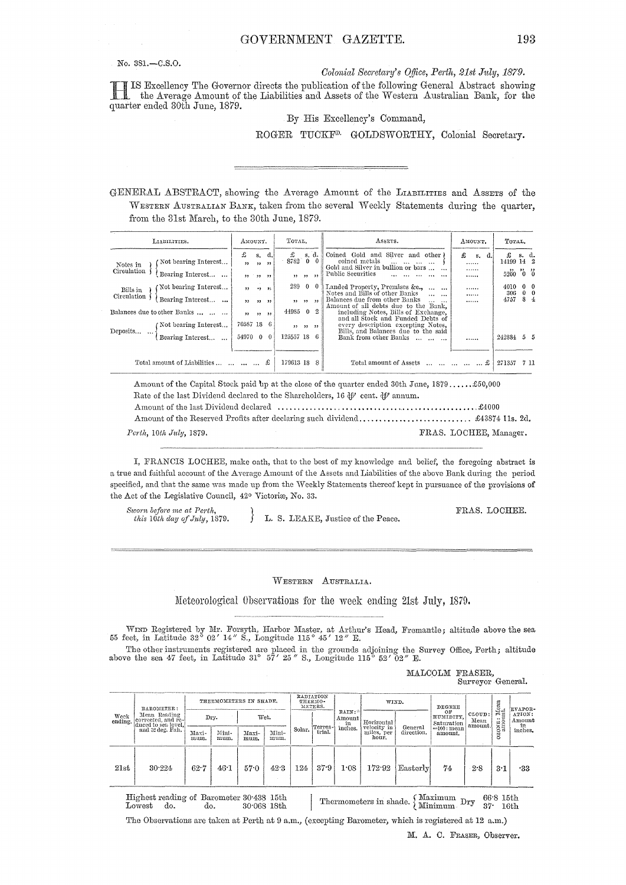No. 381.-C.S.O.

Colonial Secretary's Office, Perth, 21st July, 1879.

IS Excellency The Governor directs the publication of the following General Abstract showing the Average Amount of the Liabilities and Assets of the Western Australian Bank, for the quarter ended 30th June, 1879.

By His Excellency's Command,

ROGER TUCKF<sup>D.</sup> GOLDSWORTHY, Colonial Secretary.

GENERAL ABSTRACT, showing the Average Amount of the LIABILITIES and ASSETS of the WESTERN AUSTRALIAN BANK, taken from the several Weekly Statements during the quarter, from the 31st March, to the 30th June, 1879.

| LIABILITIES.                                    |                                          | AMOUNT.                  |            |          | Тотль.                                                                                                                                             |                          |                          | ASSETS.                                                                                                                | AMOUNT.  |                     | TOTAL. |                                    |  |
|-------------------------------------------------|------------------------------------------|--------------------------|------------|----------|----------------------------------------------------------------------------------------------------------------------------------------------------|--------------------------|--------------------------|------------------------------------------------------------------------------------------------------------------------|----------|---------------------|--------|------------------------------------|--|
| Not bearing Interest<br>Notes in<br>Circulation |                                          | £<br>,,                  |            | s. d.    | Coined Gold and Silver and other)<br>£<br>s. d.<br>8782<br>$\Omega$<br>coined metals<br>and the same service<br>Gold and Silver in bullion or bars |                          | £<br>$S_{\star}$<br><br> | £<br>d.<br>14199 14 2<br>5200 0 0                                                                                      | s. d.    |                     |        |                                    |  |
|                                                 | Bearing Interest                         | , 3, 3, 3, 3, 3          |            |          |                                                                                                                                                    | 33.33.33                 |                          | Public Securities<br>and the second contracts                                                                          |          |                     |        |                                    |  |
| Bills in<br>Circulation                         | Not bearing Interest<br>Bearing Interest | $, \,$<br>$\rightarrow$  | , 2, 3, 2, | 9 95     | 289                                                                                                                                                | $\mathbf{0}$<br>55.55.33 |                          | Landed Property, Premises &c.,<br>$\cdots$<br>Notes and Bills of other Banks<br><br>Balances due from other Banks<br>. | <br><br> | 4010<br>306<br>4757 |        | 0 <sub>0</sub><br>$0\quad 0$<br>84 |  |
| Balances due to other Banks                     |                                          | $\overline{\phantom{a}}$ | ,,,,,      |          | 44985 0                                                                                                                                            |                          |                          | Amount of all debts due to the Bank.<br>including Notes, Bills of Exchange,<br>and all Stock and Funded Debts of       |          |                     |        |                                    |  |
| Deposits                                        | (Not bearing Interest                    | 70587 18                 |            | -6       |                                                                                                                                                    | 22 33 22                 |                          | every description excepting Notes.<br>Bills, and Balances due to the said                                              |          |                     |        |                                    |  |
|                                                 | Bearing Interest                         | 54970 0                  |            | $\theta$ | 125557 18                                                                                                                                          |                          | -6                       | Bank from other Banks                                                                                                  |          | 242884              |        | $5 - 5$                            |  |
|                                                 |                                          |                          |            |          |                                                                                                                                                    |                          |                          |                                                                                                                        |          |                     |        |                                    |  |
|                                                 | Total amount of Liabilities     £        |                          |            |          | 179613 18                                                                                                                                          |                          |                          | Total amount of Assets      £                                                                                          |          | 271357              |        | 7 11                               |  |

Amount of the Capital Stock paid up at the close of the quarter ended 30th June, 1879......\$50,000 Rate of the last Dividend declared to the Shareholders, 16  $\oint P$  cent.  $\oint P$  annum. Perth, 10th July, 1879. FRAS. LOCHEE, Manager.

I, FRANCIS LOCHEE, make oath, that to the best of my knowledge and belief, the foregoing abstract is a true and faithful account of the Average Amount of the Assets and Liabilities of the above Bank during the period specified, and that the same was made up from the Weekly Statements thereof kept in pursuance of the provisions of the Act of the Legislative Council, 42° Victoriæ, No. 33.

Sworn before me at Perth, this 10th day of July, 1879.

L. S. LEAKE, Justice of the Peace.

FRAS. LOCHEE.

WESTERN AUSTRALIA.

Meteorological Observations for the week ending 21st July, 1879.

WIND Registered by Mr. Forsyth, Harbor Master, at Arthur's Head, Fremantle; altitude above the sea feet, in Latitude 32° 02' 14" S., Longitude 115° 45' 12" E. 55

The other instruments registered are placed in the grounds adjoining the Survey Office, Perth; altitude above the sea 47 feet, in Latitude 31° 57' 25" S., Longitude 115° 52' 02" E.

MALCOLM FRASER, Surveyor General.

| Week<br>ending. | BAROMETER:<br>Mean Reading<br>corrected, and re-<br>duced to sea level.<br>and 32 deg. Fah. | THERMOMETERS IN SHADE. |               |               | RADIATION<br>THERMO-<br>METERS. |        |         | WIND.                            |                                                  | DEGREE     |                               | Mean<br>mt.               | <b>EVAPOR-</b>                  |                                   |
|-----------------|---------------------------------------------------------------------------------------------|------------------------|---------------|---------------|---------------------------------|--------|---------|----------------------------------|--------------------------------------------------|------------|-------------------------------|---------------------------|---------------------------------|-----------------------------------|
|                 |                                                                                             |                        | Dry.          |               | Wet.                            |        | Terres- | RAIN:<br>Amount<br>in<br>inches. | Horizontal<br>velocity in<br>miles, per<br>hour. | General    | OF<br>HUMIDITY,<br>Saturation | CLOUD:<br>Mean<br>amount. | ≓<br>ONE <sup>2</sup><br>N<br>ö | ATION:<br>Amount<br>in<br>inches. |
|                 |                                                                                             | Maxi-<br>mum.          | Mini-<br>mum. | Maxi-<br>mum. | Mini-<br>mum.                   | Solar. | trial.  |                                  |                                                  | direction. | =100 : mean<br>amount.        |                           |                                 |                                   |
| 21st            | 30.224                                                                                      | 62.7                   | 46.1          | 57.0          | 42.3                            | 124    | 37.9    | 1.08                             | 172.92                                           | Easterly   | 74.                           | 2.8                       | 3.1                             | -33                               |

Highest reading of Barometer 30.438 15th 30.068 18th Lowest do. do.

Thermometers in shade.  $\left\{\begin{array}{l}\text{Maximum} \\ \text{Minimum} \end{array}\right. \text{Dry}$ 66.8 15th  $37 - 16th$ 

The Observations are taken at Perth at 9 a.m., (excepting Barometer, which is registered at 12 a.m.)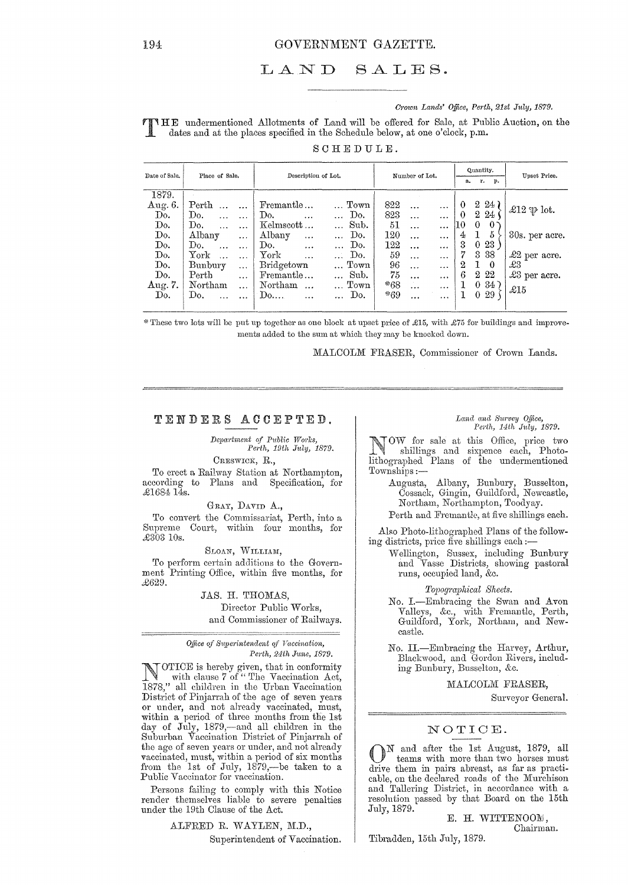#### LAND SALES.

#### Crown Lands' Office, Perth, 21st July, 1879.

THE undermentioned Allotments of Land will be offered for Sale, at Public Auction, on the dates and at the places specified in the Schedule below, at one o'clock, p.m.

| Date of Sale.                                              | Place of Sale.                                                                                                                                | Description of Lot.                                                                                                                                                                                                             | Number of Lot.                                                                                                                                                                                                          | Quantity.<br>r.<br><b>p.</b><br>a.                                                                                                        | Upset Price.                                                    |  |
|------------------------------------------------------------|-----------------------------------------------------------------------------------------------------------------------------------------------|---------------------------------------------------------------------------------------------------------------------------------------------------------------------------------------------------------------------------------|-------------------------------------------------------------------------------------------------------------------------------------------------------------------------------------------------------------------------|-------------------------------------------------------------------------------------------------------------------------------------------|-----------------------------------------------------------------|--|
| 1879.<br>Aug. 6.<br>Do.<br>Do.<br>Do.<br>Do.<br>Do.<br>Do. | $\mathrm{Perth}$<br>Do.<br>$\ddotsc$<br>Do.<br>$\ddotsc$<br>Albany<br>$\cdots$<br>Do.<br>$\ddotsc$<br>York<br>$\cdots$<br>Bunbury<br>$\cdots$ | Fremantle<br>Town<br>Do.<br>Do.<br>$\cdots$<br>Sub.<br>$Kelmscott \ldots$<br>$\cdots$<br>Albany<br>Do.<br>$\cdots$<br>$\cdots$<br>Do.<br>$\ldots$ Do.<br>$\cdots$<br>York<br>Do.<br>$\ddotsc$<br>$\cdots$<br>Bridgetown<br>Town | 822<br>$\ddotsc$<br>$\cdots$<br>823<br>$\ddotsc$<br>$\cdots$<br>51<br>$\cdots$<br>$\cdots$<br>120<br>$\ddotsc$<br>$\cdots$<br>122<br>$\cdots$<br>$\cdots$<br>59<br>$\ddotsc$<br>$\cdots$<br>96<br>$\ddotsc$<br>$\cdots$ | $2\;24$ )<br>0<br>$2\,24$<br>$\theta$<br>10<br>$\theta$<br>$\theta$<br>$\frac{5}{2}$<br>4<br>3<br>023<br>7<br>3 3 8<br>2<br>L<br>$\Omega$ | £12 $\mathfrak{P}$ lot.<br>30s. per acre.<br>£2 per acre.<br>£3 |  |
| Do.<br>Aug. 7.<br>Do.                                      | $\rm Perth$<br>$\ddotsc$<br>Northam<br>$\cdots$<br>Do.                                                                                        | Sub.<br>Fremantle<br>Town<br>Northam<br>$\dddotsc$<br>$\mathbf{Do}$<br>Do.<br>$\ddotsc$                                                                                                                                         | 75<br>$\cdots$<br>$\cdots$<br>*68<br>$\cdots$<br>$\cdots$<br>$*69$<br>$\cdots$<br>$\cdots$                                                                                                                              | 2 2 2<br>6<br>0.347<br>029<br>1                                                                                                           | £3 per acre.<br>$\mathcal{L}15$                                 |  |

 $SCHE$ DULE.

\*These two lots will be put up together as one block at upset price of £15, with £75 for buildings and improvements added to the sum at which they may be knocked down.

MALCOLM FRASER, Commissioner of Crown Lands.

### TENDERS ACCEPTED.

Department of Public Works, Perth, 19th July, 1879.

CRESWICK, R.,

To erect a Railway Station at Northampton, according to Plans and Specification, for £1684 14s.

GRAY, DAVID A., To convert the Commissariat, Perth, into a Supreme Court, within four months, for £303 10s.

SLOAN, WILLIAM,

To perform certain additions to the Government Printing Office, within five months, for £629.

### JAS. H. THOMAS, Director Public Works. and Commissioner of Railways.

#### Office of Superintendent of Vaccination, Perth, 24th June, 1879.

OTICE is hereby given, that in conformity<br>with clause 7 of "The Vaccination Act, 1878," all children in the Urban Vaccination District of Pinjarrah of the age of seven years or under, and not already vaccinated, must,<br>within a period of three months from the 1st day of July, 1879,-and all children in the Suburban Vaccination District of Pinjarrah of the age of seven years or under, and not already vaccinated, must, within a period of six months<br>from the 1st of July, 1879,—be taken to a Public Vaccinator for vaccination.

Persons failing to comply with this Notice render themselves liable to severe penalties under the 19th Clause of the Act.

> ALFRED R. WAYLEN, M.D., Superintendent of Vaccination.

#### Land and Survey Office, Perth, 14th July, 1879.

TOW for sale at this Office, price two shillings and sixpence each, Photolithographed Plans of the undermentioned Townships:-

- Augusta, Albany, Bunbury, Busselton, Cossack, Gingin, Guildford, Newcastle, Northam, Northampton, Toodyay.
- Perth and Fremantle, at five shillings each.

Also Photo-lithographed Plans of the following districts, price five shillings each :-

Wellington, Sussex, including Bunbury and Vasse Districts, showing pastoral runs, occupied land, &c.

Topographical Sheets.

No. I.-Embracing the Swan and Avon Valleys, &c., with Fremantle, Perth, Guildford, York, Northam, and Newcastle.

No. II.-Embracing the Harvey, Arthur, Blackwood, and Gordon Rivers, including Bunbury, Busselton, &c.

### MALCOLM FRASER.

Surveyor General.

## NOTICE.

N and after the 1st August, 1879, all teams with more than two horses must drive them in pairs abreast, as far as practicable, on the declared roads of the Murchison and Tallering District, in accordance with a resolution passed by that Board on the 15th July, 1879.

E. H. WITTENOOM, Chairman.

Tibradden, 15th July, 1879.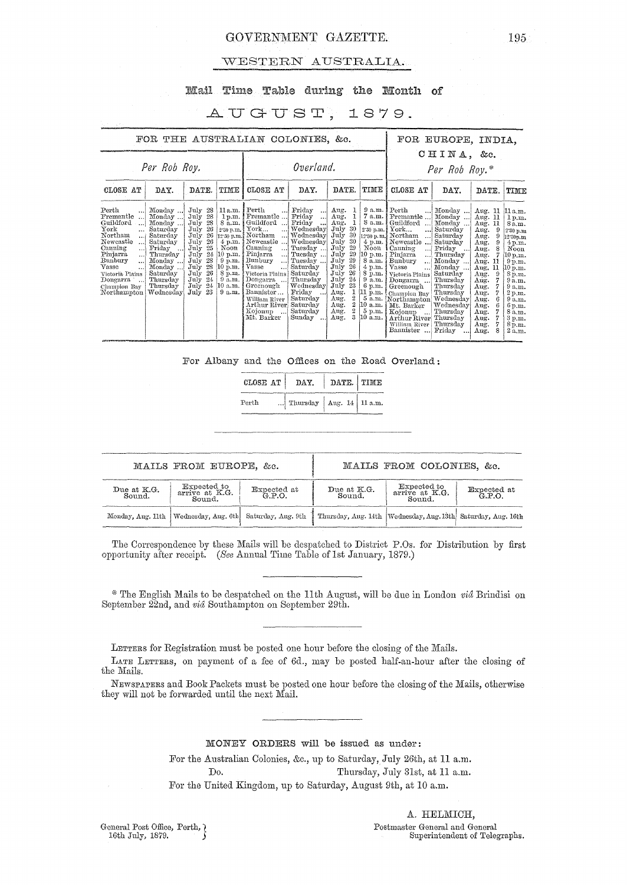## GOVERNMENT GAZETTE.

### WESTERN AUSTRALIA.

## Mail Time Table during the Month of

## AUGUST, 1879.

|                                                                                                                                                                                                                                                                             | FOR THE AUSTRALIAN COLONIES, &c.                                                                                                                          |                                                                                                                                                                                                   |                                                                                                                           |                                                                                                                                                                                                                                                                                                                             |                                                                                                                                                                                                                                                     |                                                                                                                                                                                                                                                   |                                                                                                                                             |                                                                                                                                                                                                                                                                                                                                                                                                                                       | FOR EUROPE, INDIA,                                                                                                                                                                                                  |                                                                                                                                                                                                                         |                                                                                                                                                                                                     |  |  |
|-----------------------------------------------------------------------------------------------------------------------------------------------------------------------------------------------------------------------------------------------------------------------------|-----------------------------------------------------------------------------------------------------------------------------------------------------------|---------------------------------------------------------------------------------------------------------------------------------------------------------------------------------------------------|---------------------------------------------------------------------------------------------------------------------------|-----------------------------------------------------------------------------------------------------------------------------------------------------------------------------------------------------------------------------------------------------------------------------------------------------------------------------|-----------------------------------------------------------------------------------------------------------------------------------------------------------------------------------------------------------------------------------------------------|---------------------------------------------------------------------------------------------------------------------------------------------------------------------------------------------------------------------------------------------------|---------------------------------------------------------------------------------------------------------------------------------------------|---------------------------------------------------------------------------------------------------------------------------------------------------------------------------------------------------------------------------------------------------------------------------------------------------------------------------------------------------------------------------------------------------------------------------------------|---------------------------------------------------------------------------------------------------------------------------------------------------------------------------------------------------------------------|-------------------------------------------------------------------------------------------------------------------------------------------------------------------------------------------------------------------------|-----------------------------------------------------------------------------------------------------------------------------------------------------------------------------------------------------|--|--|
| Per Rob Roy.                                                                                                                                                                                                                                                                |                                                                                                                                                           |                                                                                                                                                                                                   |                                                                                                                           |                                                                                                                                                                                                                                                                                                                             | Overland.                                                                                                                                                                                                                                           |                                                                                                                                                                                                                                                   | CHINA, &c.<br>Per Rob Roy.*                                                                                                                 |                                                                                                                                                                                                                                                                                                                                                                                                                                       |                                                                                                                                                                                                                     |                                                                                                                                                                                                                         |                                                                                                                                                                                                     |  |  |
| CLOSE AT                                                                                                                                                                                                                                                                    | DAY.                                                                                                                                                      | DATE.<br>TIME                                                                                                                                                                                     |                                                                                                                           | CLOSE AT                                                                                                                                                                                                                                                                                                                    | DAY.                                                                                                                                                                                                                                                | DATE.                                                                                                                                                                                                                                             | TIME                                                                                                                                        | CLOSE AT                                                                                                                                                                                                                                                                                                                                                                                                                              | DAY.                                                                                                                                                                                                                | DATE.                                                                                                                                                                                                                   | TIME                                                                                                                                                                                                |  |  |
| Perth<br>Fremantle<br>$\ddotsc$<br>Guildford<br>!<br>York<br>$\cdots$<br>Northam<br>أنبد<br>Newcastle<br>$\ddotsc$<br>Canning<br>اسد<br>Pinjarra<br><br>Bunbury<br>$\ddotsc$<br>Vasse<br>$\cdots$<br>Victoria Plains<br>Dongarra<br>$\cdots$<br>Champion Bay<br>Northampton | Monday<br>Monday<br>Monday<br>Saturday<br>Saturday<br>Saturday<br>Friday<br>Thursday<br>Monday<br>Monday<br>Saturday<br>Thursday<br>Thursday<br>Wednesday | July 28<br>28<br>July<br>July<br>28<br>26<br>July<br>26<br>July.<br>26<br>July<br>July<br>25<br>24<br>July<br>July<br>28<br>28<br>July<br>26<br>July<br>24<br>July<br>$\text{July}$ 24<br>July 23 | $11a.m.$ Perth<br>4 p.m.<br>Noon<br> 10 p.m.  <br>$9 \text{ p.m.}$<br>(10 p.m. )<br>8 p.m.<br>9 a.m.<br>10 a.m.<br>9 a.m. | <br>$1 p.m.$ Fremantle<br>8 a.m. Guildford<br><br>2.30 p.m. York<br>!<br>12.30 p.m. Northam<br>$\ldots$<br>Newcastle<br>Canning<br>$\cdot \cdot \cdot$<br>Pinjarra<br>!<br>Bunbury<br>… <br>Vasse<br>Victoria Plains<br>Dongarra<br>Greenough<br>Bannister<br>William River<br>Arthur River<br>Kojonup<br>. 1<br>Mt. Barker | Friday<br>$\ddotsc$<br>Friday<br>$\cdots$<br>Friday<br>…<br>Wednesday<br>Wednesday<br>Wednesday<br>Tuesday<br>Tuesday<br>Tuesday<br>Saturday<br>Saturday<br>Thursday<br>Wednesday<br>Friday<br>$\sim$<br>Saturday<br>Saturday<br>Saturday<br>Sunday | Aug.<br>1<br>Aug.<br>Aug.<br>July<br>-30<br>July<br>- 30<br>July<br>30<br>29<br>July<br>29<br>July<br>July<br>29<br>26<br>July<br>-26<br>July<br>24<br>July<br>July<br>23<br>1<br>Aug.<br>2<br>Aug.<br>$\bf{2}$<br>Aug.<br>2<br>Aug.<br>3<br>Aug. | 7 a.m.<br>8 a.m.<br>Noon<br>10 p.m.<br>4 p.m.<br>8 p.m.<br>9a.m.<br>$6 \text{ p.m.}$<br>[11 p.m.]<br>10 a.m.<br>$5 \text{ p.m.}$<br>10 a.m. | 9 a.m. Perth<br>$\ddotsc$<br>Fremantle<br>Guildford<br>2.30 p.m. York<br>أمعه<br>12.30 p.m. Northam<br>$\ddotsc$<br>$4 p.m.$ [Newcastle ]<br><b>Canning</b><br>$\ddotsc$<br>Pinjarra<br>$\ddotsc$<br>8 a.m. Bunbury<br>$\ddotsc$<br>Vasse<br>$\ddotsc$<br>Victoria Plains<br>Dongarra<br>Greenough<br>Champion Bay<br>5 a.m. Northampton Wednesday<br>Mt. Barker<br>Kojonup<br>$\cdots$<br>Arthur River<br>William River<br>Bannister | Monday<br>Monday<br>Monday<br>Saturday<br>Saturday<br>Saturday<br>Friday<br>Thursday<br>Monday<br>Monday<br>Saturday<br>Thursday<br>Thursday<br>Thursday<br>Wednesday<br>Thursday<br>Thursday<br>Thursday<br>Fridav | Aug.<br>-11<br>Aug.<br>-11<br>Aug.<br>-11<br>Aug.<br>9<br>Aug.<br>9<br>Aug.<br>9<br>Aug.<br>7<br>Aug.<br>Aug.<br>-11<br>11<br>Aug.<br>9<br>Aug.<br>Aug.<br>Aug.<br>Aug.<br>Aug.<br>Aug.<br>Aug.<br>Aug.<br>Aug.<br>Aug. | 11a.m.<br>1 p.m.<br>8a.m.<br>2.30 p.m<br>12.30p.m<br>4 p.m.<br>Noon<br>10 p.m.<br>9 p.m.<br>10 p.m.<br>8 p.m.<br>9a.m.<br>9 a.m.<br>2 p.m.<br>9a.m.<br>6 p.m.<br>8 a.m.<br>3 p.m.<br>8p.m.<br>2a.m. |  |  |

For Albany and the Offices on the Road Overland:

| CLOSE AT | DAY.                         | DATE. TIME |  |  |  |
|----------|------------------------------|------------|--|--|--|
| Perth    | Thursday   Aug. 14   11 a.m. |            |  |  |  |

|                                                               | MAILS FROM EUROPE, &c.                                        |                                                                  |                       | MAILS FROM COLONIES, &c.                |                    |
|---------------------------------------------------------------|---------------------------------------------------------------|------------------------------------------------------------------|-----------------------|-----------------------------------------|--------------------|
| Due at K.G.<br>Sound.                                         | Expected to<br>Expected at G.P.O.<br>arrive at K.G.<br>Sound. |                                                                  | Due at K.G.<br>Sound. | Expected to<br>arrive at K.G.<br>Sound. | Expected at G.P.O. |
| Monday, Aug. 11th   Wednesday, Aug. 6th<br>Saturday, Aug. 9th |                                                               | Thursday, Aug. 14th   Wednesday, Aug. 13th   Saturday, Aug. 16th |                       |                                         |                    |

The Correspondence by these Mails will be despatched to District P.Os. for Distribution by first opportunity after receipt. (See Annual Time Table of 1st January, 1879.)

\* The English Mails to be despatched on the 11th August, will be due in London vid Brindisi on September 22nd, and vid Southampton on September 29th.

LETTERS for Registration must be posted one hour before the closing of the Mails.

LATE LETTERS, on payment of a fee of 6d., may be posted half-an-hour after the closing of the Mails.

NEWSPAPERS and Book Packets must be posted one hour before the closing of the Mails, otherwise they will not be forwarded until the next Mail.

### MONEY ORDERS will be issued as under:

For the Australian Colonies, &c., up to Saturday, July 26th, at 11 a.m. Thursday, July 31st, at 11 a.m. Do. For the United Kingdom, up to Saturday, August 9th, at 10 a.m.

General Post Office, Perth, {16th July, 1879.}

A. HELMICH, Postmaster General and General Superintendent of Telegraphs.

195